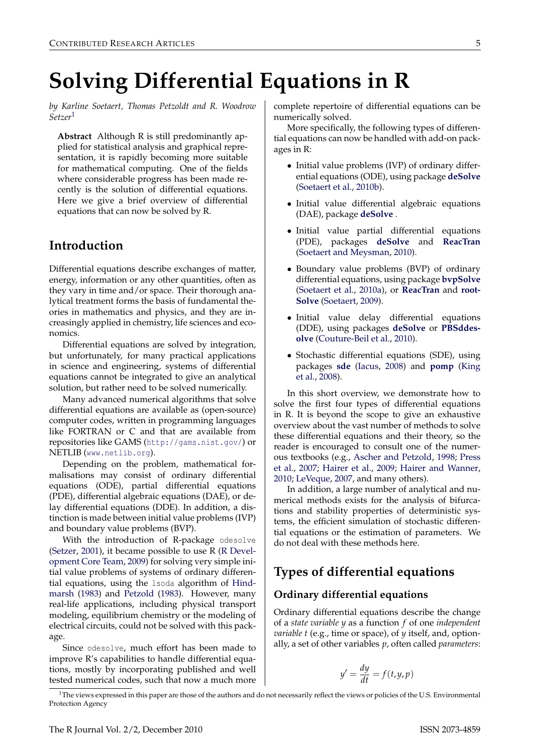# **Solving Differential Equations in R**

*by Karline Soetaert, Thomas Petzoldt and R. Woodrow Setzer*[1](#page-0-0)

**Abstract** Although R is still predominantly applied for statistical analysis and graphical representation, it is rapidly becoming more suitable for mathematical computing. One of the fields where considerable progress has been made recently is the solution of differential equations. Here we give a brief overview of differential equations that can now be solved by R.

## **Introduction**

Differential equations describe exchanges of matter, energy, information or any other quantities, often as they vary in time and/or space. Their thorough analytical treatment forms the basis of fundamental theories in mathematics and physics, and they are increasingly applied in chemistry, life sciences and economics.

Differential equations are solved by integration, but unfortunately, for many practical applications in science and engineering, systems of differential equations cannot be integrated to give an analytical solution, but rather need to be solved numerically.

Many advanced numerical algorithms that solve differential equations are available as (open-source) computer codes, written in programming languages like FORTRAN or C and that are available from repositories like GAMS (<http://gams.nist.gov/>) or NETLIB (<www.netlib.org>).

Depending on the problem, mathematical formalisations may consist of ordinary differential equations (ODE), partial differential equations (PDE), differential algebraic equations (DAE), or delay differential equations (DDE). In addition, a distinction is made between initial value problems (IVP) and boundary value problems (BVP).

With the introduction of R-package odesolve [\(Setzer,](#page-9-0) [2001\)](#page-9-0), it became possible to use R [\(R Devel](#page-8-0)[opment Core Team,](#page-8-0) [2009\)](#page-8-0) for solving very simple initial value problems of systems of ordinary differential equations, using the lsoda algorithm of [Hind](#page-8-1)[marsh](#page-8-1) [\(1983\)](#page-8-1) and [Petzold](#page-8-2) [\(1983\)](#page-8-2). However, many real-life applications, including physical transport modeling, equilibrium chemistry or the modeling of electrical circuits, could not be solved with this package.

Since odesolve, much effort has been made to improve R's capabilities to handle differential equations, mostly by incorporating published and well tested numerical codes, such that now a much more complete repertoire of differential equations can be numerically solved.

More specifically, the following types of differential equations can now be handled with add-on packages in R:

- Initial value problems (IVP) of ordinary differential equations (ODE), using package **[deSolve](http://cran.r-project.org/package=deSolve)** [\(Soetaert et al.,](#page-9-1) [2010b\)](#page-9-1).
- Initial value differential algebraic equations (DAE), package **[deSolve](http://cran.r-project.org/package=deSolve)** .
- Initial value partial differential equations (PDE), packages **[deSolve](http://cran.r-project.org/package=deSolve)** and **[ReacTran](http://cran.r-project.org/package=ReacTran)** [\(Soetaert and Meysman,](#page-9-2) [2010\)](#page-9-2).
- Boundary value problems (BVP) of ordinary differential equations, using package **[bvpSolve](http://cran.r-project.org/package=bvpSolve)** [\(Soetaert et al.,](#page-9-3) [2010a\)](#page-9-3), or **[ReacTran](http://cran.r-project.org/package=ReacTran)** and **[root-](http://cran.r-project.org/package=rootSolve)[Solve](http://cran.r-project.org/package=rootSolve)** [\(Soetaert,](#page-9-4) [2009\)](#page-9-4).
- Initial value delay differential equations (DDE), using packages **[deSolve](http://cran.r-project.org/package=deSolve)** or **[PBSddes](http://cran.r-project.org/package=PBSddesolve)[olve](http://cran.r-project.org/package=PBSddesolve)** [\(Couture-Beil et al.,](#page-8-3) [2010\)](#page-8-3).
- Stochastic differential equations (SDE), using packages **[sde](http://cran.r-project.org/package=sde)** [\(Iacus,](#page-8-4) [2008\)](#page-8-4) and **[pomp](http://cran.r-project.org/package=pomp)** [\(King](#page-8-5) [et al.,](#page-8-5) [2008\)](#page-8-5).

In this short overview, we demonstrate how to solve the first four types of differential equations in R. It is beyond the scope to give an exhaustive overview about the vast number of methods to solve these differential equations and their theory, so the reader is encouraged to consult one of the numerous textbooks (e.g., [Ascher and Petzold,](#page-8-6) [1998;](#page-8-6) [Press](#page-8-7) [et al.,](#page-8-7) [2007;](#page-8-7) [Hairer et al.,](#page-8-8) [2009;](#page-8-8) [Hairer and Wanner,](#page-8-9) [2010;](#page-8-9) [LeVeque,](#page-8-10) [2007,](#page-8-10) and many others).

In addition, a large number of analytical and numerical methods exists for the analysis of bifurcations and stability properties of deterministic systems, the efficient simulation of stochastic differential equations or the estimation of parameters. We do not deal with these methods here.

# **Types of differential equations**

## **Ordinary differential equations**

Ordinary differential equations describe the change of a *state variable y* as a function *f* of one *independent variable t* (e.g., time or space), of *y* itself, and, optionally, a set of other variables *p*, often called *parameters*:

$$
y' = \frac{dy}{dt} = f(t, y, p)
$$

<span id="page-0-0"></span> $1$ The views expressed in this paper are those of the authors and do not necessarily reflect the views or policies of the U.S. Environmental Protection Agency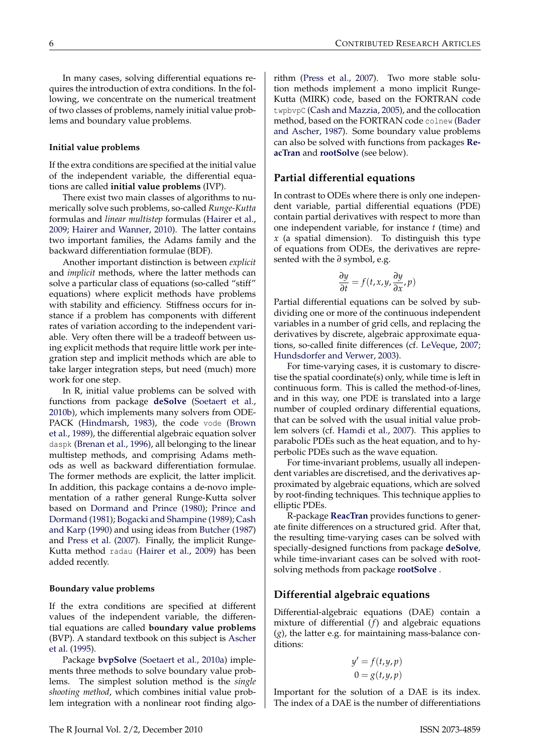In many cases, solving differential equations requires the introduction of extra conditions. In the following, we concentrate on the numerical treatment of two classes of problems, namely initial value problems and boundary value problems.

#### **Initial value problems**

If the extra conditions are specified at the initial value of the independent variable, the differential equations are called **initial value problems** (IVP).

There exist two main classes of algorithms to numerically solve such problems, so-called *Runge-Kutta* formulas and *linear multistep* formulas [\(Hairer et al.,](#page-8-8) [2009;](#page-8-8) [Hairer and Wanner,](#page-8-9) [2010\)](#page-8-9). The latter contains two important families, the Adams family and the backward differentiation formulae (BDF).

Another important distinction is between *explicit* and *implicit* methods, where the latter methods can solve a particular class of equations (so-called "stiff" equations) where explicit methods have problems with stability and efficiency. Stiffness occurs for instance if a problem has components with different rates of variation according to the independent variable. Very often there will be a tradeoff between using explicit methods that require little work per integration step and implicit methods which are able to take larger integration steps, but need (much) more work for one step.

In R, initial value problems can be solved with functions from package **[deSolve](http://cran.r-project.org/package=deSolve)** [\(Soetaert et al.,](#page-9-1) [2010b\)](#page-9-1), which implements many solvers from ODE-PACK [\(Hindmarsh,](#page-8-1) [1983\)](#page-8-1), the code vode [\(Brown](#page-8-11) [et al.,](#page-8-11) [1989\)](#page-8-11), the differential algebraic equation solver daspk [\(Brenan et al.,](#page-8-12) [1996\)](#page-8-12), all belonging to the linear multistep methods, and comprising Adams methods as well as backward differentiation formulae. The former methods are explicit, the latter implicit. In addition, this package contains a de-novo implementation of a rather general Runge-Kutta solver based on [Dormand and Prince](#page-8-13) [\(1980\)](#page-8-13); [Prince and](#page-8-14) [Dormand](#page-8-14) [\(1981\)](#page-8-14); [Bogacki and Shampine](#page-8-15) [\(1989\)](#page-8-15); [Cash](#page-8-16) [and Karp](#page-8-16) [\(1990\)](#page-8-16) and using ideas from [Butcher](#page-8-17) [\(1987\)](#page-8-17) and [Press et al.](#page-8-7) [\(2007\)](#page-8-7). Finally, the implicit Runge-Kutta method radau [\(Hairer et al.,](#page-8-8) [2009\)](#page-8-8) has been added recently.

#### **Boundary value problems**

If the extra conditions are specified at different values of the independent variable, the differential equations are called **boundary value problems** (BVP). A standard textbook on this subject is [Ascher](#page-8-18) [et al.](#page-8-18) [\(1995\)](#page-8-18).

Package **[bvpSolve](http://cran.r-project.org/package=bvpSolve)** [\(Soetaert et al.,](#page-9-3) [2010a\)](#page-9-3) implements three methods to solve boundary value problems. The simplest solution method is the *single shooting method*, which combines initial value problem integration with a nonlinear root finding algorithm [\(Press et al.,](#page-8-7) [2007\)](#page-8-7). Two more stable solution methods implement a mono implicit Runge-Kutta (MIRK) code, based on the FORTRAN code twpbvpC [\(Cash and Mazzia,](#page-8-19) [2005\)](#page-8-19), and the collocation method, based on the FORTRAN code colnew [\(Bader](#page-8-20) [and Ascher,](#page-8-20) [1987\)](#page-8-20). Some boundary value problems can also be solved with functions from packages **[Re](http://cran.r-project.org/package=ReacTran)[acTran](http://cran.r-project.org/package=ReacTran)** and **[rootSolve](http://cran.r-project.org/package=rootSolve)** (see below).

#### **Partial differential equations**

In contrast to ODEs where there is only one independent variable, partial differential equations (PDE) contain partial derivatives with respect to more than one independent variable, for instance *t* (time) and *x* (a spatial dimension). To distinguish this type of equations from ODEs, the derivatives are represented with the *∂* symbol, e.g.

$$
\frac{\partial y}{\partial t} = f(t, x, y, \frac{\partial y}{\partial x}, p)
$$

Partial differential equations can be solved by subdividing one or more of the continuous independent variables in a number of grid cells, and replacing the derivatives by discrete, algebraic approximate equations, so-called finite differences (cf. [LeVeque,](#page-8-10) [2007;](#page-8-10) [Hundsdorfer and Verwer,](#page-8-21) [2003\)](#page-8-21).

For time-varying cases, it is customary to discretise the spatial coordinate(s) only, while time is left in continuous form. This is called the method-of-lines, and in this way, one PDE is translated into a large number of coupled ordinary differential equations, that can be solved with the usual initial value problem solvers (cf. [Hamdi et al.,](#page-8-22) [2007\)](#page-8-22). This applies to parabolic PDEs such as the heat equation, and to hyperbolic PDEs such as the wave equation.

For time-invariant problems, usually all independent variables are discretised, and the derivatives approximated by algebraic equations, which are solved by root-finding techniques. This technique applies to elliptic PDEs.

R-package **[ReacTran](http://cran.r-project.org/package=ReacTran)** provides functions to generate finite differences on a structured grid. After that, the resulting time-varying cases can be solved with specially-designed functions from package **[deSolve](http://cran.r-project.org/package=deSolve)**, while time-invariant cases can be solved with rootsolving methods from package **[rootSolve](http://cran.r-project.org/package=rootSolve)** .

#### **Differential algebraic equations**

Differential-algebraic equations (DAE) contain a mixture of differential (*f*) and algebraic equations (*g*), the latter e.g. for maintaining mass-balance conditions:

$$
y' = f(t, y, p)
$$

$$
0 = g(t, y, p)
$$

Important for the solution of a DAE is its index. The index of a DAE is the number of differentiations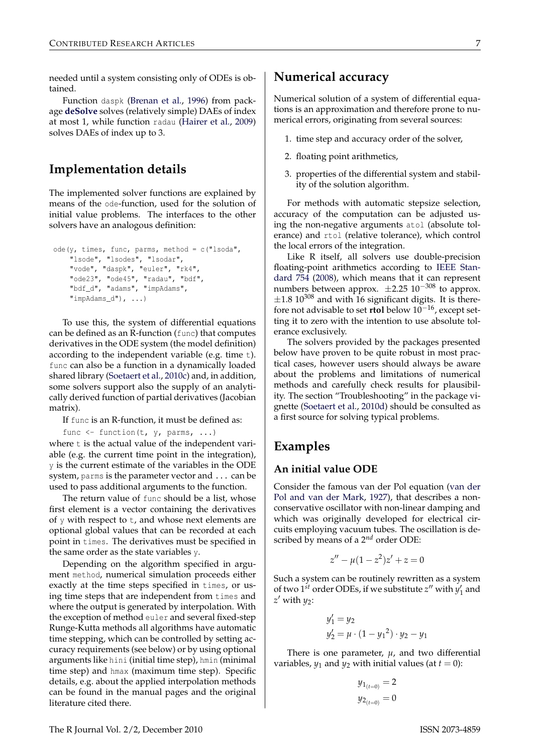needed until a system consisting only of ODEs is obtained.

Function daspk [\(Brenan et al.,](#page-8-12) [1996\)](#page-8-12) from package **[deSolve](http://cran.r-project.org/package=deSolve)** solves (relatively simple) DAEs of index at most 1, while function radau [\(Hairer et al.,](#page-8-8) [2009\)](#page-8-8) solves DAEs of index up to 3.

# **Implementation details**

The implemented solver functions are explained by means of the ode-function, used for the solution of initial value problems. The interfaces to the other solvers have an analogous definition:

```
ode(y, times, func, parms, method = c("lsoda",
    "lsode", "lsodes", "lsodar",
    "vode", "daspk", "euler", "rk4",
    "ode23", "ode45", "radau", "bdf",
    "bdf_d", "adams", "impAdams",
    "impAdams_d"), ...)
```
To use this, the system of differential equations can be defined as an R-function (func) that computes derivatives in the ODE system (the model definition) according to the independent variable (e.g. time t). func can also be a function in a dynamically loaded shared library [\(Soetaert et al.,](#page-9-5) [2010c\)](#page-9-5) and, in addition, some solvers support also the supply of an analytically derived function of partial derivatives (Jacobian matrix).

If func is an R-function, it must be defined as:

func  $\leq$  function(t, y, parms, ...)

where t is the actual value of the independent variable (e.g. the current time point in the integration), y is the current estimate of the variables in the ODE system, parms is the parameter vector and ... can be used to pass additional arguments to the function.

The return value of func should be a list, whose first element is a vector containing the derivatives of  $y$  with respect to  $t$ , and whose next elements are optional global values that can be recorded at each point in times. The derivatives must be specified in the same order as the state variables y.

Depending on the algorithm specified in argument method, numerical simulation proceeds either exactly at the time steps specified in times, or using time steps that are independent from times and where the output is generated by interpolation. With the exception of method euler and several fixed-step Runge-Kutta methods all algorithms have automatic time stepping, which can be controlled by setting accuracy requirements (see below) or by using optional arguments like hini (initial time step), hmin (minimal time step) and hmax (maximum time step). Specific details, e.g. about the applied interpolation methods can be found in the manual pages and the original literature cited there.

## **Numerical accuracy**

Numerical solution of a system of differential equations is an approximation and therefore prone to numerical errors, originating from several sources:

- 1. time step and accuracy order of the solver,
- 2. floating point arithmetics,
- 3. properties of the differential system and stability of the solution algorithm.

For methods with automatic stepsize selection, accuracy of the computation can be adjusted using the non-negative arguments atol (absolute tolerance) and rtol (relative tolerance), which control the local errors of the integration.

Like R itself, all solvers use double-precision floating-point arithmetics according to [IEEE Stan](#page-8-23)[dard 754](#page-8-23) [\(2008\)](#page-8-23), which means that it can represent numbers between approx.  $\pm 2.25$  10<sup>-308</sup> to approx.  $\pm 1.8$  10<sup>308</sup> and with 16 significant digits. It is therefore not advisable to set **rtol** below 10−16, except setting it to zero with the intention to use absolute tolerance exclusively.

The solvers provided by the packages presented below have proven to be quite robust in most practical cases, however users should always be aware about the problems and limitations of numerical methods and carefully check results for plausibility. The section "Troubleshooting" in the package vignette [\(Soetaert et al.,](#page-9-6) [2010d\)](#page-9-6) should be consulted as a first source for solving typical problems.

## **Examples**

#### **An initial value ODE**

Consider the famous van der Pol equation [\(van der](#page-9-7) [Pol and van der Mark,](#page-9-7) [1927\)](#page-9-7), that describes a nonconservative oscillator with non-linear damping and which was originally developed for electrical circuits employing vacuum tubes. The oscillation is described by means of a 2*nd* order ODE:

$$
z'' - \mu(1 - z^2)z' + z = 0
$$

Such a system can be routinely rewritten as a system of two 1<sup>st</sup> order ODEs, if we substitute  $z''$  with  $y'_1$  and *z* <sup>0</sup> with *y*2:

$$
y'_1 = y_2
$$
  

$$
y'_2 = \mu \cdot (1 - {y_1}^2) \cdot y_2 - y_1
$$

There is one parameter,  $\mu$ , and two differential variables,  $y_1$  and  $y_2$  with initial values (at  $t = 0$ ):

$$
y_{1_{(t=0)}} = 2
$$
  
 $y_{2_{(t=0)}} = 0$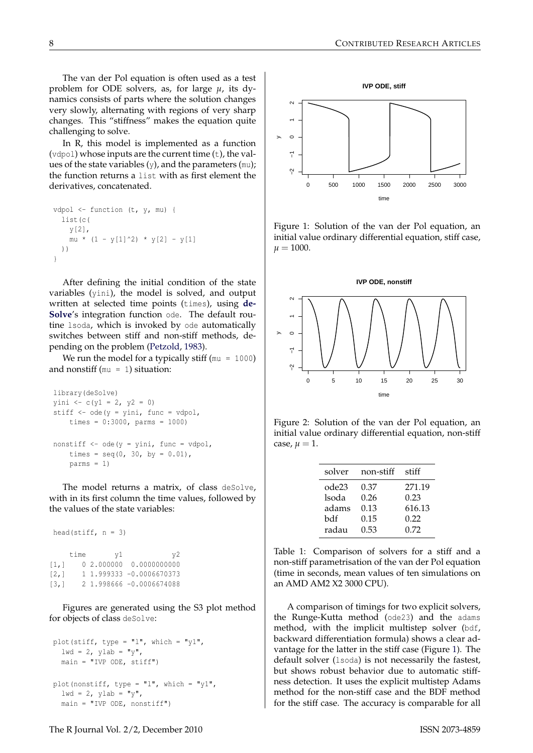The van der Pol equation is often used as a test problem for ODE solvers, as, for large *µ*, its dynamics consists of parts where the solution changes very slowly, alternating with regions of very sharp changes. This "stiffness" makes the equation quite challenging to solve.

In R, this model is implemented as a function (vdpol) whose inputs are the current time (t), the values of the state variables  $(y)$ , and the parameters  $(mu)$ ; the function returns a list with as first element the derivatives, concatenated.

```
vdpol \leftarrow function (t, y, mu) {
  list(c(
    y[2],
    mu * (1 - y[1]^2) * y[2] - y[1]))
}
```
After defining the initial condition of the state variables (yini), the model is solved, and output written at selected time points (times), using **[de-](http://cran.r-project.org/package=deSolve)[Solve](http://cran.r-project.org/package=deSolve)**'s integration function ode. The default routine lsoda, which is invoked by ode automatically switches between stiff and non-stiff methods, depending on the problem [\(Petzold,](#page-8-2) [1983\)](#page-8-2).

We run the model for a typically stiff  $(mu = 1000)$ and nonstiff ( $mu = 1$ ) situation:

```
library(deSolve)
yini \leftarrow c(y1 = 2, y2 = 0)stiff \leq ode(y = yini, func = vdpol,
    times = 0:3000, parms = 1000)
nonstiff \leq ode(y = yini, func = vdpol,
    times = seq(0, 30, by = 0.01),
    params = 1)
```
The model returns a matrix, of class deSolve, with in its first column the time values, followed by the values of the state variables:

```
head(stiff, n = 3)
   time v1 v2[1,] 0 2.000000 0.0000000000
[2,] 1 1.999333 -0.0006670373
[3,] 2 1.998666 -0.0006674088
```
Figures are generated using the S3 plot method for objects of class deSolve:

```
plot(stiff, type = "1", which = "y1",1wd = 2, vlab = "v",main = "IVP ODE, stiff")
plot(nonstiff, type = "1", which = "y1",
 1wd = 2, ylab = "y",
```


Figure 1: Solution of the van der Pol equation, an initial value ordinary differential equation, stiff case,  $\mu = 1000.$ 



Figure 2: Solution of the van der Pol equation, an initial value ordinary differential equation, non-stiff case,  $\mu = 1$ .

| solver | non-stiff | stiff  |
|--------|-----------|--------|
| ode23  | 0.37      | 271.19 |
| lsoda  | 0.26      | 0.23   |
| adams  | 0.13      | 616.13 |
| bdf    | 0.15      | 0.22   |
| radau  | 0.53      | 0.72   |

<span id="page-3-0"></span>Table 1: Comparison of solvers for a stiff and a non-stiff parametrisation of the van der Pol equation (time in seconds, mean values of ten simulations on an AMD AM2 X2 3000 CPU).

A comparison of timings for two explicit solvers, the Runge-Kutta method (ode23) and the adams method, with the implicit multistep solver (bdf, backward differentiation formula) shows a clear advantage for the latter in the stiff case (Figure [1\)](#page-3-0). The default solver (lsoda) is not necessarily the fastest, but shows robust behavior due to automatic stiffness detection. It uses the explicit multistep Adams method for the non-stiff case and the BDF method for the stiff case. The accuracy is comparable for all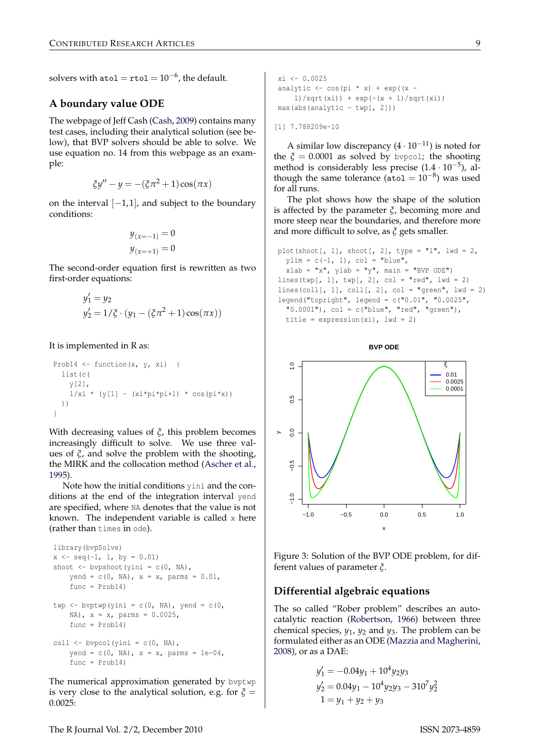solvers with  $\texttt{atol} = \texttt{rtol} = 10^{-6}$ , the default.

### **A boundary value ODE**

The webpage of Jeff Cash [\(Cash,](#page-8-24) [2009\)](#page-8-24) contains many test cases, including their analytical solution (see below), that BVP solvers should be able to solve. We use equation no. 14 from this webpage as an example:

$$
\xi y'' - y = -(\xi \pi^2 + 1) \cos(\pi x)
$$

on the interval  $[-1, 1]$ , and subject to the boundary conditions:

$$
y_{(x=-1)} = 0
$$
  

$$
y_{(x=+1)} = 0
$$

The second-order equation first is rewritten as two first-order equations:

$$
y'_1 = y_2
$$
  
\n $y'_2 = 1/\xi \cdot (y_1 - (\xi \pi^2 + 1) \cos(\pi x))$ 

It is implemented in R as:

```
Prob14 \leftarrow function(x, y, xi) {
  list(c(
    y[2],
    1/xi * (y[1] - (xi * pi * pi + 1) * cos(p i * x))))
}
```
With decreasing values of *ξ*, this problem becomes increasingly difficult to solve. We use three values of *ξ*, and solve the problem with the shooting, the MIRK and the collocation method [\(Ascher et al.,](#page-8-18) [1995\)](#page-8-18).

Note how the initial conditions yini and the conditions at the end of the integration interval yend are specified, where NA denotes that the value is not known. The independent variable is called x here (rather than times in ode).

```
library(bvpSolve)
x \leftarrow \text{seq}(-1, 1, \text{ by } = 0.01)shoot \leftarrow bypshoot(yini = c(0, NA),
    yend = c(0, NA), x = x, parms = 0.01,func = Prob14)twp \leftarrow byptwp(yini = c(0, NA), yend = c(0,
    NA), x = x, parms = 0.0025,
    func = Prob14)coll \leftarrow bvpcol(yini = c(0, NA),
    yend = c(0, NA), x = x, parms = 1e-04,func = Prob14)
```
The numerical approximation generated by byptwp is very close to the analytical solution, e.g. for  $\xi$  = 0.0025:

```
x_i <- 0.0025
analytic \leq cos(pi * x) + exp((x -
   1)/sqrt(xi)) + exp(-(x + 1)/sqrt(xi))max(abs(analytic - twp[, 2]))
```
[1] 7.788209e-10

A similar low discrepancy  $(4 \cdot 10^{-11})$  is noted for the  $\xi = 0.0001$  as solved by bypcol; the shooting method is considerably less precise (1.4 · 10−<sup>5</sup> ), although the same tolerance (atol =  $10^{-8}$ ) was used for all runs.

The plot shows how the shape of the solution is affected by the parameter *ξ*, becoming more and more steep near the boundaries, and therefore more and more difficult to solve, as *ξ* gets smaller.

```
plot(shoot[, 1], shoot[, 2], type = "l", 1wd = 2,
 ylim = c(-1, 1), col = "blue",xlab = "x", ylab = "y", main = "BVP ODE")
lines(twp[, 1], twp[, 2], col = "red", lwd = 2)
lines(coll[, 1], coll[, 2], col = "green", lwd = 2)
legend("topright", legend = c("0.01", "0.0025",
  "0.0001", col = c("blue", "red", "green"),
  title = expression(xi), 1wd = 2)
```
**BVP ODE**

 $\overline{a}$ −1.0 −0.5 0.0 0.5 1.0 ξ 0.01 0.0025 0.0001  $0.5$  $0.0$ y $-0.5$ p −1.0 −0.5 0.0 0.5 1.0 x

Figure 3: Solution of the BVP ODE problem, for dif-

## **Differential algebraic equations**

ferent values of parameter *ξ*.

The so called "Rober problem" describes an autocatalytic reaction [\(Robertson,](#page-9-8) [1966\)](#page-9-8) between three chemical species, *y*1, *y*<sup>2</sup> and *y*3. The problem can be formulated either as an ODE [\(Mazzia and Magherini,](#page-8-25) [2008\)](#page-8-25), or as a DAE:

$$
y'_1 = -0.04y_1 + 10^4 y_2 y_3
$$
  
\n
$$
y'_2 = 0.04y_1 - 10^4 y_2 y_3 - 310^7 y_2^2
$$
  
\n
$$
1 = y_1 + y_2 + y_3
$$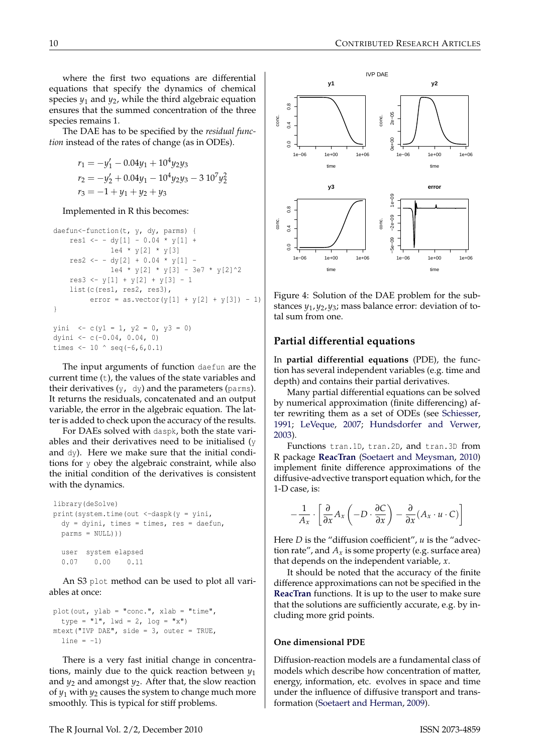where the first two equations are differential equations that specify the dynamics of chemical species *y*<sup>1</sup> and *y*2, while the third algebraic equation ensures that the summed concentration of the three species remains 1.

The DAE has to be specified by the *residual function* instead of the rates of change (as in ODEs).

$$
r_1 = -y'_1 - 0.04y_1 + 10^4 y_2 y_3
$$
  
\n
$$
r_2 = -y'_2 + 0.04y_1 - 10^4 y_2 y_3 - 3 10^7 y_2^2
$$
  
\n
$$
r_3 = -1 + y_1 + y_2 + y_3
$$

Implemented in R this becomes:

```
daefun<-function(t, y, dy, parms) {
    res1 <- - dy[1] - 0.04 * y[1] +1e4 * y[2] * y[3]res2 \leftarrow - \frac{dy[2] + 0.04 * y[1] - }{}1e4 * y[2] * y[3] - 3e7 * y[2]res3 \le y[1] + y[2] + y[3] - 1list(c(res1, res2, res3),
          error = as.vector(y[1] + y[2] + y[3]) - 1)}
yini \langle -c(y_1 = 1, y_2 = 0, y_3 = 0) \rangle
```

```
dyini <- c(-0.04, 0.04, 0)
times <-10 \degree seq(-6,6,0.1)
```
The input arguments of function daefun are the current time (t), the values of the state variables and their derivatives  $(y, \, dy)$  and the parameters (parms). It returns the residuals, concatenated and an output variable, the error in the algebraic equation. The latter is added to check upon the accuracy of the results.

For DAEs solved with daspk, both the state variables and their derivatives need to be initialised (y and dy). Here we make sure that the initial conditions for y obey the algebraic constraint, while also the initial condition of the derivatives is consistent with the dynamics.

```
library(deSolve)
print(system.time(out <-daspk(y = yini,
 dy = dyini, times = times, res = daefun,
 parms = NULL)))
 user system elapsed
 0.07 0.00 0.11
```
An S3 plot method can be used to plot all variables at once:

```
plot(out, ylab = "conc.", xlab = "time",
  type = "l", \text{ lwd} = 2, \text{ log} = "x")mtext("IVP DAE", side = 3, outer = TRUE,
  line = -1)
```
There is a very fast initial change in concentrations, mainly due to the quick reaction between  $y_1$ and  $y_2$  and amongst  $y_2$ . After that, the slow reaction of *y*<sup>1</sup> with *y*<sup>2</sup> causes the system to change much more smoothly. This is typical for stiff problems.



Figure 4: Solution of the DAE problem for the substances *y*1,*y*2,*y*3; mass balance error: deviation of total sum from one.

## **Partial differential equations**

In **partial differential equations** (PDE), the function has several independent variables (e.g. time and depth) and contains their partial derivatives.

Many partial differential equations can be solved by numerical approximation (finite differencing) after rewriting them as a set of ODEs (see [Schiesser,](#page-9-9) [1991;](#page-9-9) [LeVeque,](#page-8-10) [2007;](#page-8-10) [Hundsdorfer and Verwer,](#page-8-21) [2003\)](#page-8-21).

Functions tran.1D, tran.2D, and tran.3D from R package **[ReacTran](http://cran.r-project.org/package=ReacTran)** [\(Soetaert and Meysman,](#page-9-2) [2010\)](#page-9-2) implement finite difference approximations of the diffusive-advective transport equation which, for the 1-D case, is:

$$
-\frac{1}{A_x} \cdot \left[ \frac{\partial}{\partial x} A_x \left( -D \cdot \frac{\partial C}{\partial x} \right) - \frac{\partial}{\partial x} (A_x \cdot u \cdot C) \right]
$$

Here *D* is the "diffusion coefficient", *u* is the "advection rate", and  $A_x$  is some property (e.g. surface area) that depends on the independent variable, *x*.

It should be noted that the accuracy of the finite difference approximations can not be specified in the **[ReacTran](http://cran.r-project.org/package=ReacTran)** functions. It is up to the user to make sure that the solutions are sufficiently accurate, e.g. by including more grid points.

#### **One dimensional PDE**

Diffusion-reaction models are a fundamental class of models which describe how concentration of matter, energy, information, etc. evolves in space and time under the influence of diffusive transport and transformation [\(Soetaert and Herman,](#page-9-10) [2009\)](#page-9-10).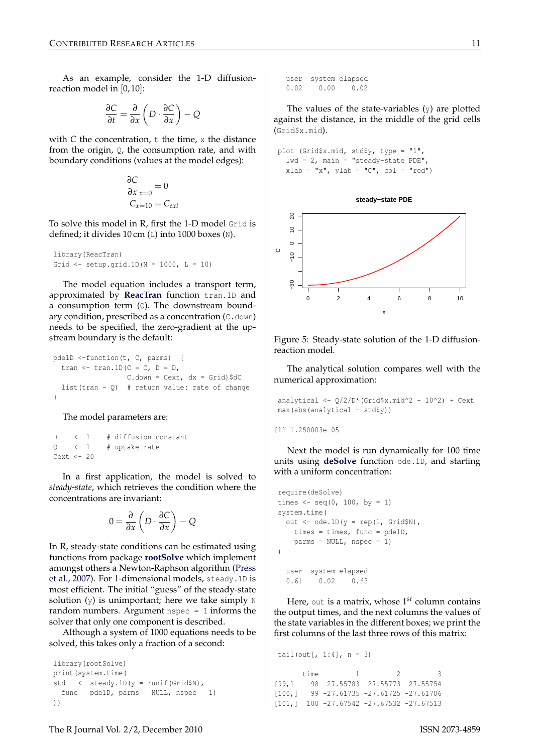As an example, consider the 1-D diffusionreaction model in  $[0, 10]$ :

$$
\frac{\partial C}{\partial t} = \frac{\partial}{\partial x} \left( D \cdot \frac{\partial C}{\partial x} \right) - Q
$$

with  $C$  the concentration,  $t$  the time,  $x$  the distance from the origin,  $Q$ , the consumption rate, and with boundary conditions (values at the model edges):

$$
\frac{\partial C}{\partial x}_{x=0} = 0
$$
  

$$
C_{x=10} = C_{ext}
$$

To solve this model in R, first the 1-D model Grid is defined; it divides 10 cm (L) into 1000 boxes (N).

```
library(ReacTran)
Grid \le setup.grid.1D(N = 1000, L = 10)
```
The model equation includes a transport term, approximated by **[ReacTran](http://cran.r-project.org/package=ReacTran)** function tran.1D and a consumption term  $(Q)$ . The downstream boundary condition, prescribed as a concentration (C.down) needs to be specified, the zero-gradient at the upstream boundary is the default:

```
pde1D <-function(t, C, parms) {
  tran \leq tran. 1D(C = C, D = D,
                  C.down = Cext, dx = Grid)$dC
  list(tran - Q) # return value: rate of change
}
```
The model parameters are:

```
D <- 1 # diffusion constant
0 \leq -1 \leq # uptake rate
Cext < -20
```
In a first application, the model is solved to *steady-state*, which retrieves the condition where the concentrations are invariant:

$$
0 = \frac{\partial}{\partial x} \left( D \cdot \frac{\partial C}{\partial x} \right) - Q
$$

In R, steady-state conditions can be estimated using functions from package **[rootSolve](http://cran.r-project.org/package=rootSolve)** which implement amongst others a Newton-Raphson algorithm [\(Press](#page-8-7) [et al.,](#page-8-7) [2007\)](#page-8-7). For 1-dimensional models, steady.1D is most efficient. The initial "guess" of the steady-state solution  $(y)$  is unimportant; here we take simply  $N$ random numbers. Argument  $nspec = 1$  informs the solver that only one component is described.

Although a system of 1000 equations needs to be solved, this takes only a fraction of a second:

```
library(rootSolve)
print(system.time(
std <- steady.1D(y = runif(Grid$N),
  func = pde1D, parms = NULL, nspec = 1)
))
```
user system elapsed 0.02 0.00 0.02

The values of the state-variables  $(y)$  are plotted against the distance, in the middle of the grid cells (Grid\$x.mid).

```
plot (Grid$x.mid, std$y, type = "l",
  1wd = 2, main = "steady-state PDE",
  xlab = "x", ylab = "C", col = "red")
```


Figure 5: Steady-state solution of the 1-D diffusionreaction model.

The analytical solution compares well with the numerical approximation:

```
analytical <- Q/2/D*(Grid$x.mid^2 - 10^2) + Cext
max(abs(analytical - std\)))
```

```
[1] 1.250003e-05
```
Next the model is run dynamically for 100 time units using **[deSolve](http://cran.r-project.org/package=deSolve)** function ode.1D, and starting with a uniform concentration:

```
require(deSolve)
times \leq seq(0, 100, by = 1)
system.time(
  out \leq ode. 1D (y = rep(1, Grid$N),
    times = times, func = pde1D,
    parms = NULL, nspec = 1)
)
  user system elapsed
  0.61 0.02 0.63
```
Here, out is a matrix, whose 1<sup>st</sup> column contains the output times, and the next columns the values of the state variables in the different boxes; we print the first columns of the last three rows of this matrix:

```
tail(out[, 1:4], n = 3)
     time 1 2 3
[99,] 98 -27.55783 -27.55773 -27.55754
[100,] 99 -27.61735 -27.61725 -27.61706
[101,] 100 -27.67542 -27.67532 -27.67513
```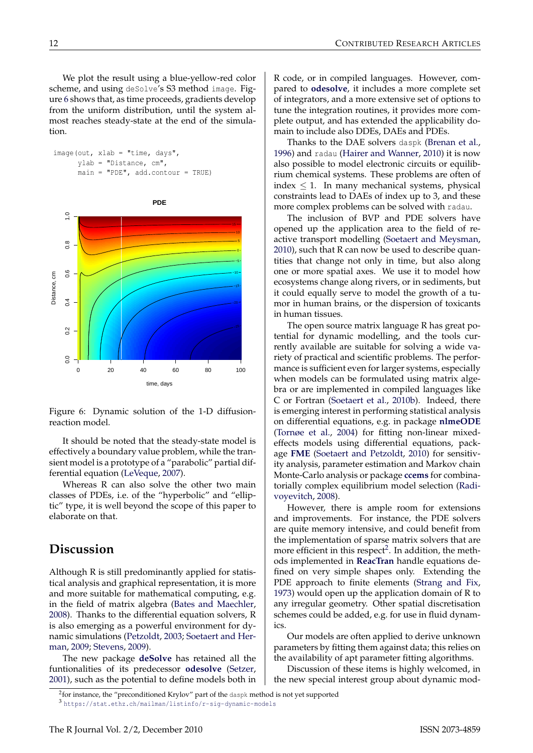We plot the result using a blue-yellow-red color scheme, and using deSolve's S3 method image. Figure [6](#page-7-0) shows that, as time proceeds, gradients develop from the uniform distribution, until the system almost reaches steady-state at the end of the simulation.

| $image(out, xlab = "time, days",$ |                          |                                     |  |
|-----------------------------------|--------------------------|-------------------------------------|--|
|                                   | $vlab = "Distance, cm",$ |                                     |  |
|                                   |                          | $main = "PDE", add.contrib = TRUE)$ |  |



<span id="page-7-0"></span>Figure 6: Dynamic solution of the 1-D diffusionreaction model.

It should be noted that the steady-state model is effectively a boundary value problem, while the transient model is a prototype of a "parabolic" partial differential equation [\(LeVeque,](#page-8-10) [2007\)](#page-8-10).

Whereas R can also solve the other two main classes of PDEs, i.e. of the "hyperbolic" and "elliptic" type, it is well beyond the scope of this paper to elaborate on that.

## **Discussion**

Although R is still predominantly applied for statistical analysis and graphical representation, it is more and more suitable for mathematical computing, e.g. in the field of matrix algebra [\(Bates and Maechler,](#page-8-26) [2008\)](#page-8-26). Thanks to the differential equation solvers, R is also emerging as a powerful environment for dynamic simulations [\(Petzoldt,](#page-8-27) [2003;](#page-8-27) [Soetaert and Her](#page-9-10)[man,](#page-9-10) [2009;](#page-9-10) [Stevens,](#page-9-11) [2009\)](#page-9-11).

The new package **[deSolve](http://cran.r-project.org/package=deSolve)** has retained all the funtionalities of its predecessor **[odesolve](http://cran.r-project.org/package=odesolve)** [\(Setzer,](#page-9-0) [2001\)](#page-9-0), such as the potential to define models both in R code, or in compiled languages. However, compared to **[odesolve](http://cran.r-project.org/package=odesolve)**, it includes a more complete set of integrators, and a more extensive set of options to tune the integration routines, it provides more complete output, and has extended the applicability domain to include also DDEs, DAEs and PDEs.

Thanks to the DAE solvers daspk [\(Brenan et al.,](#page-8-12) [1996\)](#page-8-12) and radau [\(Hairer and Wanner,](#page-8-9) [2010\)](#page-8-9) it is now also possible to model electronic circuits or equilibrium chemical systems. These problems are often of index  $\leq$  1. In many mechanical systems, physical constraints lead to DAEs of index up to 3, and these more complex problems can be solved with radau.

The inclusion of BVP and PDE solvers have opened up the application area to the field of reactive transport modelling [\(Soetaert and Meysman,](#page-9-2) [2010\)](#page-9-2), such that R can now be used to describe quantities that change not only in time, but also along one or more spatial axes. We use it to model how ecosystems change along rivers, or in sediments, but it could equally serve to model the growth of a tumor in human brains, or the dispersion of toxicants in human tissues.

The open source matrix language R has great potential for dynamic modelling, and the tools currently available are suitable for solving a wide variety of practical and scientific problems. The performance is sufficient even for larger systems, especially when models can be formulated using matrix algebra or are implemented in compiled languages like C or Fortran [\(Soetaert et al.,](#page-9-1) [2010b\)](#page-9-1). Indeed, there is emerging interest in performing statistical analysis on differential equations, e.g. in package **[nlmeODE](http://cran.r-project.org/package=nlmeODE)** [\(Tornøe et al.,](#page-9-12) [2004\)](#page-9-12) for fitting non-linear mixedeffects models using differential equations, package **[FME](http://cran.r-project.org/package=FME)** [\(Soetaert and Petzoldt,](#page-9-13) [2010\)](#page-9-13) for sensitivity analysis, parameter estimation and Markov chain Monte-Carlo analysis or package **[ccems](http://cran.r-project.org/package=ccems)** for combinatorially complex equilibrium model selection [\(Radi](#page-8-28)[voyevitch,](#page-8-28) [2008\)](#page-8-28).

However, there is ample room for extensions and improvements. For instance, the PDE solvers are quite memory intensive, and could benefit from the implementation of sparse matrix solvers that are more efficient in this respect<sup>[2](#page-7-1)</sup>. In addition, the methods implemented in **[ReacTran](http://cran.r-project.org/package=ReacTran)** handle equations defined on very simple shapes only. Extending the PDE approach to finite elements [\(Strang and Fix,](#page-9-14) [1973\)](#page-9-14) would open up the application domain of R to any irregular geometry. Other spatial discretisation schemes could be added, e.g. for use in fluid dynamics.

Our models are often applied to derive unknown parameters by fitting them against data; this relies on the availability of apt parameter fitting algorithms.

Discussion of these items is highly welcomed, in the new special interest group about dynamic mod-

<span id="page-7-2"></span><span id="page-7-1"></span> $^{2}$ for instance, the "preconditioned Krylov" part of the daspk method is not yet supported <sup>3</sup> <https://stat.ethz.ch/mailman/listinfo/r-sig-dynamic-models>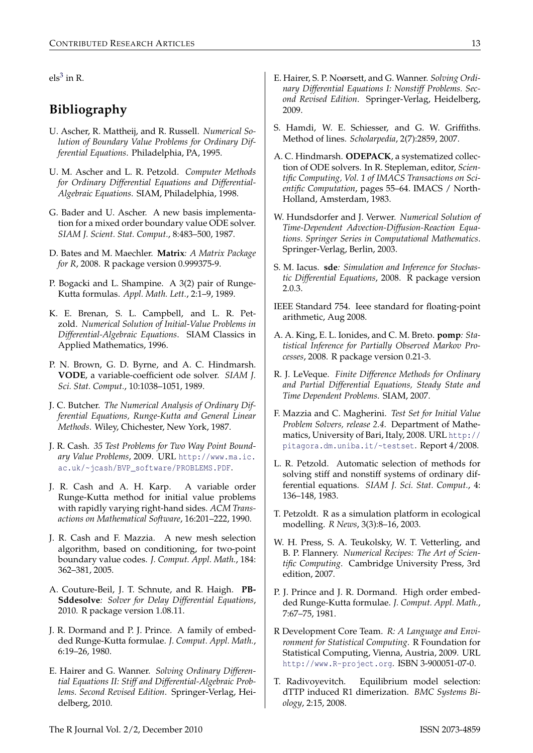$\text{els}^3$  $\text{els}^3$  in R.

# **Bibliography**

- <span id="page-8-18"></span>U. Ascher, R. Mattheij, and R. Russell. *Numerical Solution of Boundary Value Problems for Ordinary Differential Equations*. Philadelphia, PA, 1995.
- <span id="page-8-6"></span>U. M. Ascher and L. R. Petzold. *Computer Methods for Ordinary Differential Equations and Differential-Algebraic Equations*. SIAM, Philadelphia, 1998.
- <span id="page-8-20"></span>G. Bader and U. Ascher. A new basis implementation for a mixed order boundary value ODE solver. *SIAM J. Scient. Stat. Comput.*, 8:483–500, 1987.
- <span id="page-8-26"></span>D. Bates and M. Maechler. **Matrix***: A Matrix Package for R*, 2008. R package version 0.999375-9.
- <span id="page-8-15"></span>P. Bogacki and L. Shampine. A 3(2) pair of Runge-Kutta formulas. *Appl. Math. Lett.*, 2:1–9, 1989.
- <span id="page-8-12"></span>K. E. Brenan, S. L. Campbell, and L. R. Petzold. *Numerical Solution of Initial-Value Problems in Differential-Algebraic Equations*. SIAM Classics in Applied Mathematics, 1996.
- <span id="page-8-11"></span>P. N. Brown, G. D. Byrne, and A. C. Hindmarsh. **VODE**, a variable-coefficient ode solver. *SIAM J. Sci. Stat. Comput.*, 10:1038–1051, 1989.
- <span id="page-8-17"></span>J. C. Butcher. *The Numerical Analysis of Ordinary Differential Equations, Runge-Kutta and General Linear Methods*. Wiley, Chichester, New York, 1987.
- <span id="page-8-24"></span>J. R. Cash. *35 Test Problems for Two Way Point Boundary Value Problems*, 2009. URL [http://www.ma.ic.](http://www.ma.ic.ac.uk/~jcash/BVP_software/PROBLEMS.PDF) [ac.uk/~jcash/BVP\\_software/PROBLEMS.PDF](http://www.ma.ic.ac.uk/~jcash/BVP_software/PROBLEMS.PDF).
- <span id="page-8-16"></span>J. R. Cash and A. H. Karp. A variable order Runge-Kutta method for initial value problems with rapidly varying right-hand sides. *ACM Transactions on Mathematical Software*, 16:201–222, 1990.
- <span id="page-8-19"></span>J. R. Cash and F. Mazzia. A new mesh selection algorithm, based on conditioning, for two-point boundary value codes. *J. Comput. Appl. Math.*, 184: 362–381, 2005.
- <span id="page-8-3"></span>A. Couture-Beil, J. T. Schnute, and R. Haigh. **PB-Sddesolve***: Solver for Delay Differential Equations*, 2010. R package version 1.08.11.
- <span id="page-8-13"></span>J. R. Dormand and P. J. Prince. A family of embedded Runge-Kutta formulae. *J. Comput. Appl. Math.*, 6:19–26, 1980.
- <span id="page-8-9"></span>E. Hairer and G. Wanner. *Solving Ordinary Differential Equations II: Stiff and Differential-Algebraic Problems. Second Revised Edition*. Springer-Verlag, Heidelberg, 2010.
- <span id="page-8-8"></span>E. Hairer, S. P. Noørsett, and G. Wanner. *Solving Ordinary Differential Equations I: Nonstiff Problems. Second Revised Edition*. Springer-Verlag, Heidelberg, 2009.
- <span id="page-8-22"></span>S. Hamdi, W. E. Schiesser, and G. W. Griffiths. Method of lines. *Scholarpedia*, 2(7):2859, 2007.
- <span id="page-8-1"></span>A. C. Hindmarsh. **ODEPACK**, a systematized collection of ODE solvers. In R. Stepleman, editor, *Scientific Computing, Vol. 1 of IMACS Transactions on Scientific Computation*, pages 55–64. IMACS / North-Holland, Amsterdam, 1983.
- <span id="page-8-21"></span>W. Hundsdorfer and J. Verwer. *Numerical Solution of Time-Dependent Advection-Diffusion-Reaction Equations. Springer Series in Computational Mathematics*. Springer-Verlag, Berlin, 2003.
- <span id="page-8-4"></span>S. M. Iacus. **sde***: Simulation and Inference for Stochastic Differential Equations*, 2008. R package version 2.0.3.
- <span id="page-8-23"></span>IEEE Standard 754. Ieee standard for floating-point arithmetic, Aug 2008.
- <span id="page-8-5"></span>A. A. King, E. L. Ionides, and C. M. Breto. **pomp***: Statistical Inference for Partially Observed Markov Processes*, 2008. R package version 0.21-3.
- <span id="page-8-10"></span>R. J. LeVeque. *Finite Difference Methods for Ordinary and Partial Differential Equations, Steady State and Time Dependent Problems*. SIAM, 2007.
- <span id="page-8-25"></span>F. Mazzia and C. Magherini. *Test Set for Initial Value Problem Solvers, release 2.4*. Department of Mathematics, University of Bari, Italy, 2008. URL [http://](http://pitagora.dm.uniba.it/~testset) [pitagora.dm.uniba.it/~testset](http://pitagora.dm.uniba.it/~testset). Report 4/2008.
- <span id="page-8-2"></span>L. R. Petzold. Automatic selection of methods for solving stiff and nonstiff systems of ordinary differential equations. *SIAM J. Sci. Stat. Comput.*, 4: 136–148, 1983.
- <span id="page-8-27"></span>T. Petzoldt. R as a simulation platform in ecological modelling. *R News*, 3(3):8–16, 2003.
- <span id="page-8-7"></span>W. H. Press, S. A. Teukolsky, W. T. Vetterling, and B. P. Flannery. *Numerical Recipes: The Art of Scientific Computing*. Cambridge University Press, 3rd edition, 2007.
- <span id="page-8-14"></span>P. J. Prince and J. R. Dormand. High order embedded Runge-Kutta formulae. *J. Comput. Appl. Math.*, 7:67–75, 1981.
- <span id="page-8-0"></span>R Development Core Team. *R: A Language and Environment for Statistical Computing*. R Foundation for Statistical Computing, Vienna, Austria, 2009. URL <http://www.R-project.org>. ISBN 3-900051-07-0.
- <span id="page-8-28"></span>T. Radivoyevitch. Equilibrium model selection: dTTP induced R1 dimerization. *BMC Systems Biology*, 2:15, 2008.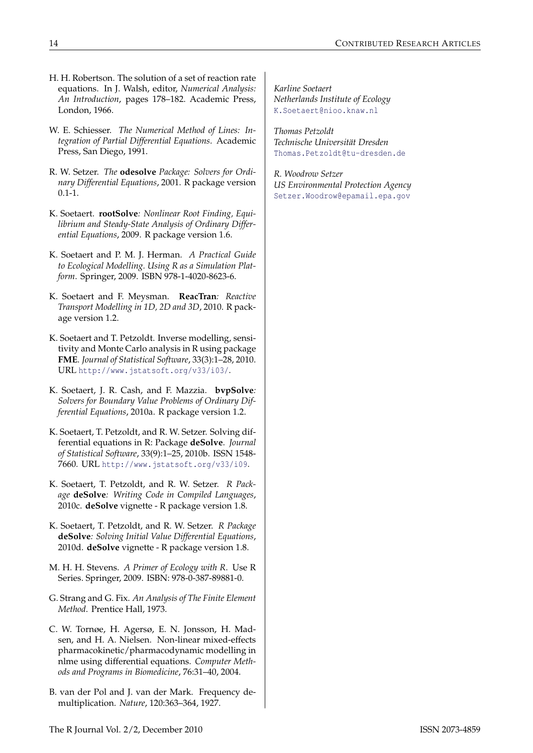- <span id="page-9-8"></span>H. H. Robertson. The solution of a set of reaction rate equations. In J. Walsh, editor, *Numerical Analysis: An Introduction*, pages 178–182. Academic Press, London, 1966.
- <span id="page-9-9"></span>W. E. Schiesser. *The Numerical Method of Lines: Integration of Partial Differential Equations*. Academic Press, San Diego, 1991.
- <span id="page-9-0"></span>R. W. Setzer. *The* **odesolve** *Package: Solvers for Ordinary Differential Equations*, 2001. R package version 0.1-1.
- <span id="page-9-4"></span>K. Soetaert. **rootSolve***: Nonlinear Root Finding, Equilibrium and Steady-State Analysis of Ordinary Differential Equations*, 2009. R package version 1.6.
- <span id="page-9-10"></span>K. Soetaert and P. M. J. Herman. *A Practical Guide to Ecological Modelling. Using R as a Simulation Platform*. Springer, 2009. ISBN 978-1-4020-8623-6.
- <span id="page-9-2"></span>K. Soetaert and F. Meysman. **ReacTran***: Reactive Transport Modelling in 1D, 2D and 3D*, 2010. R package version 1.2.
- <span id="page-9-13"></span>K. Soetaert and T. Petzoldt. Inverse modelling, sensitivity and Monte Carlo analysis in R using package **FME**. *Journal of Statistical Software*, 33(3):1–28, 2010. URL <http://www.jstatsoft.org/v33/i03/>.
- <span id="page-9-3"></span>K. Soetaert, J. R. Cash, and F. Mazzia. **bvpSolve***: Solvers for Boundary Value Problems of Ordinary Differential Equations*, 2010a. R package version 1.2.
- <span id="page-9-1"></span>K. Soetaert, T. Petzoldt, and R. W. Setzer. Solving differential equations in R: Package **deSolve**. *Journal of Statistical Software*, 33(9):1–25, 2010b. ISSN 1548- 7660. URL <http://www.jstatsoft.org/v33/i09>.
- <span id="page-9-5"></span>K. Soetaert, T. Petzoldt, and R. W. Setzer. *R Package* **deSolve***: Writing Code in Compiled Languages*, 2010c. **deSolve** vignette - R package version 1.8.
- <span id="page-9-6"></span>K. Soetaert, T. Petzoldt, and R. W. Setzer. *R Package* **deSolve***: Solving Initial Value Differential Equations*, 2010d. **deSolve** vignette - R package version 1.8.
- <span id="page-9-11"></span>M. H. H. Stevens. *A Primer of Ecology with R*. Use R Series. Springer, 2009. ISBN: 978-0-387-89881-0.
- <span id="page-9-14"></span>G. Strang and G. Fix. *An Analysis of The Finite Element Method*. Prentice Hall, 1973.
- <span id="page-9-12"></span>C. W. Tornøe, H. Agersø, E. N. Jonsson, H. Madsen, and H. A. Nielsen. Non-linear mixed-effects pharmacokinetic/pharmacodynamic modelling in nlme using differential equations. *Computer Methods and Programs in Biomedicine*, 76:31–40, 2004.
- <span id="page-9-7"></span>B. van der Pol and J. van der Mark. Frequency demultiplication. *Nature*, 120:363–364, 1927.

*Karline Soetaert Netherlands Institute of Ecology* [K.Soetaert@nioo.knaw.nl](mailto:K.Soetaert@nioo.knaw.nl)

*Thomas Petzoldt Technische Universität Dresden* [Thomas.Petzoldt@tu-dresden.de](mailto:Thomas.Petzoldt@tu-dresden.de)

*R. Woodrow Setzer US Environmental Protection Agency* [Setzer.Woodrow@epamail.epa.gov](mailto:Setzer.Woodrow@epamail.epa.gov)